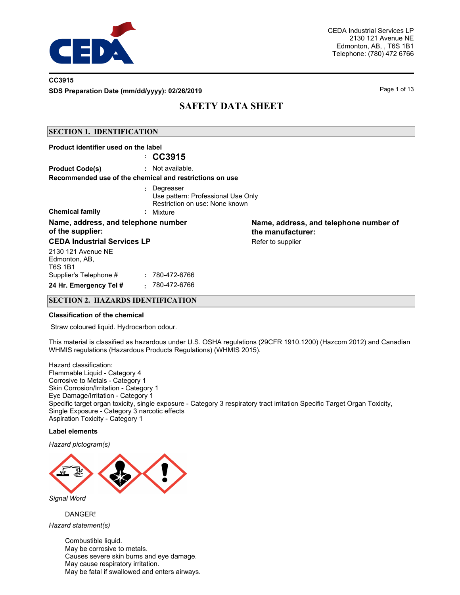

### **CC3915**

**SDS Preparation Date (mm/dd/yyyy): 02/26/2019 Page 1 of 13** Page 1 of 13

## **SAFETY DATA SHEET**

#### **SECTION 1. IDENTIFICATION**

| Product identifier used on the label                    |                                                                                                  |                                                             |
|---------------------------------------------------------|--------------------------------------------------------------------------------------------------|-------------------------------------------------------------|
|                                                         | $\therefore$ CC3915                                                                              |                                                             |
| <b>Product Code(s)</b>                                  | : Not available.                                                                                 |                                                             |
|                                                         | Recommended use of the chemical and restrictions on use                                          |                                                             |
| <b>Chemical family</b>                                  | : Degreaser<br>Use pattern: Professional Use Only<br>Restriction on use: None known<br>: Mixture |                                                             |
| Name, address, and telephone number<br>of the supplier: |                                                                                                  | Name, address, and telephone number of<br>the manufacturer: |
| <b>CEDA Industrial Services LP</b>                      |                                                                                                  | Refer to supplier                                           |
| 2130 121 Avenue NE<br>Edmonton, AB,<br>T6S 1B1          |                                                                                                  |                                                             |
| Supplier's Telephone #                                  | : 780-472-6766                                                                                   |                                                             |
| 24 Hr. Emergency Tel #                                  | 780-472-6766<br>$\sim$                                                                           |                                                             |

#### **SECTION 2. HAZARDS IDENTIFICATION**

#### **Classification of the chemical**

Straw coloured liquid. Hydrocarbon odour.

This material is classified as hazardous under U.S. OSHA regulations (29CFR 1910.1200) (Hazcom 2012) and Canadian WHMIS regulations (Hazardous Products Regulations) (WHMIS 2015).

Hazard classification: Flammable Liquid - Category 4 Corrosive to Metals - Category 1 Skin Corrosion/Irritation - Category 1 Eye Damage/Irritation - Category 1 Specific target organ toxicity, single exposure - Category 3 respiratory tract irritation Specific Target Organ Toxicity, Single Exposure - Category 3 narcotic effects Aspiration Toxicity - Category 1

#### **Label elements**

*Hazard pictogram(s)*



DANGER!

*Hazard statement(s)*

Combustible liquid. May be corrosive to metals. Causes severe skin burns and eye damage. May cause respiratory irritation. May be fatal if swallowed and enters airways.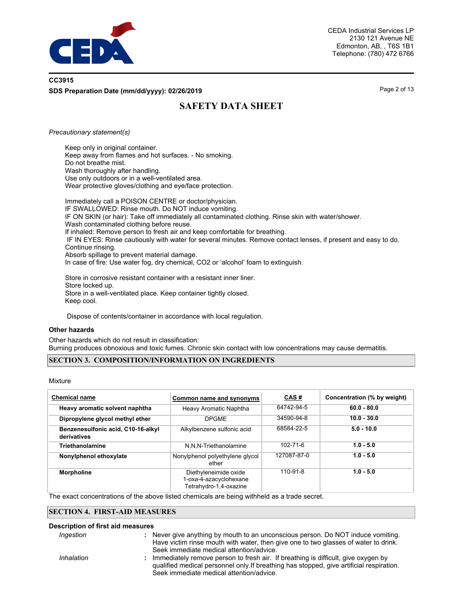

## **CC3915 SDS Preparation Date (mm/dd/yyyy): 02/26/2019 Page 2 of 13** Page 2 of 13

# **SAFETY DATA SHEET**

#### *Precautionary statement(s)*

Keep only in original container. Keep away from flames and hot surfaces. - No smoking. Do not breathe mist. Wash thoroughly after handling. Use only outdoors or in a well-ventilated area. Wear protective gloves/clothing and eye/face protection.

Immediately call a POISON CENTRE or doctor/physician. IF SWALLOWED: Rinse mouth. Do NOT induce vomiting. IF ON SKIN (or hair): Take off immediately all contaminated clothing. Rinse skin with water/shower. Wash contaminated clothing before reuse. If inhaled: Remove person to fresh air and keep comfortable for breathing. IF IN EYES: Rinse cautiously with water for several minutes. Remove contact lenses, if present and easy to do. Continue rinsing. Absorb spillage to prevent material damage. In case of fire: Use water fog, dry chemical, CO2 or 'alcohol' foam to extinguish.

Store in corrosive resistant container with a resistant inner liner. Store locked up. Store in a well-ventilated place. Keep container tightly closed. Keep cool.

Dispose of contents/container in accordance with local regulation.

#### **Other hazards**

Other hazards which do not result in classification: Burning produces obnoxious and toxic fumes. Chronic skin contact with low concentrations may cause dermatitis.

#### **SECTION 3. COMPOSITION/INFORMATION ON INGREDIENTS**

Mixture

| <b>Chemical name</b>                              | Common name and synonyms                                                  | CAS#           | Concentration (% by weight) |
|---------------------------------------------------|---------------------------------------------------------------------------|----------------|-----------------------------|
| Heavy aromatic solvent naphtha                    | Heavy Aromatic Naphtha                                                    | 64742-94-5     | $60.0 - 80.0$               |
| Dipropylene glycol methyl ether                   | <b>DPGME</b>                                                              | 34590-94-8     | $10.0 - 30.0$               |
| Benzenesulfonic acid, C10-16-alkyl<br>derivatives | Alkylbenzene sulfonic acid                                                | 68584-22-5     | $5.0 - 10.0$                |
| Triethanolamine                                   | N,N,N-Triethanolamine                                                     | $102 - 71 - 6$ | $1.0 - 5.0$                 |
| Nonylphenol ethoxylate                            | Nonylphenol polyethylene glycol<br>ether                                  | 127087-87-0    | $1.0 - 5.0$                 |
| <b>Morpholine</b>                                 | Diethyleneimide oxide<br>1-oxa-4-azacyclohexane<br>Tetrahydro-1,4-oxazine | 110-91-8       | $1.0 - 5.0$                 |

The exact concentrations of the above listed chemicals are being withheld as a trade secret.

### **SECTION 4. FIRST-AID MEASURES**

#### **Description of first aid measures**

*Ingestion* **:**

- Never give anything by mouth to an unconscious person. Do NOT induce vomiting. Have victim rinse mouth with water, then give one to two glasses of water to drink. Seek immediate medical attention/advice.
- : Immediately remove person to fresh air. If breathing is difficult, give oxygen by qualified medical personnel only.If breathing has stopped, give artificial respiration. Seek immediate medical attention/advice. *Inhalation* **:**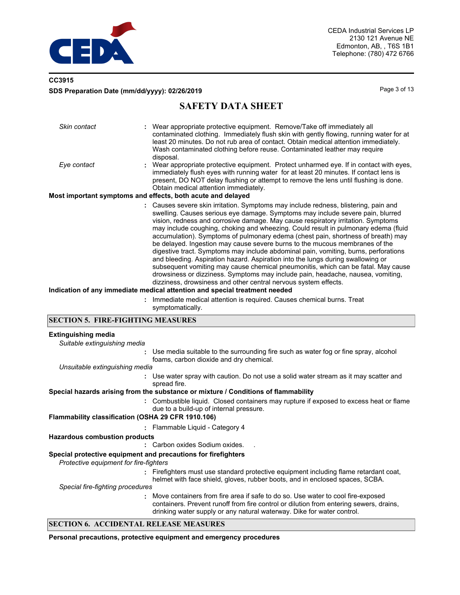

## **CC3915 SDS Preparation Date (mm/dd/yyyy): 02/26/2019 Page 3 of 13** Page 3 of 13

## **SAFETY DATA SHEET**

| Skin contact | : Wear appropriate protective equipment. Remove/Take off immediately all<br>contaminated clothing. Immediately flush skin with gently flowing, running water for at<br>least 20 minutes. Do not rub area of contact. Obtain medical attention immediately.<br>Wash contaminated clothing before reuse. Contaminated leather may require<br>disposal.                                                                                                                                                                                                                                                                                                                                                                                                                                                                                                                                                                                                                                                                  |
|--------------|-----------------------------------------------------------------------------------------------------------------------------------------------------------------------------------------------------------------------------------------------------------------------------------------------------------------------------------------------------------------------------------------------------------------------------------------------------------------------------------------------------------------------------------------------------------------------------------------------------------------------------------------------------------------------------------------------------------------------------------------------------------------------------------------------------------------------------------------------------------------------------------------------------------------------------------------------------------------------------------------------------------------------|
| Eye contact  | : Wear appropriate protective equipment. Protect unharmed eye. If in contact with eyes,<br>immediately flush eyes with running water for at least 20 minutes. If contact lens is<br>present, DO NOT delay flushing or attempt to remove the lens until flushing is done.<br>Obtain medical attention immediately.                                                                                                                                                                                                                                                                                                                                                                                                                                                                                                                                                                                                                                                                                                     |
|              | Most important symptoms and effects, both acute and delayed                                                                                                                                                                                                                                                                                                                                                                                                                                                                                                                                                                                                                                                                                                                                                                                                                                                                                                                                                           |
|              | : Causes severe skin irritation. Symptoms may include redness, blistering, pain and<br>swelling. Causes serious eye damage. Symptoms may include severe pain, blurred<br>vision, redness and corrosive damage. May cause respiratory irritation. Symptoms<br>may include coughing, choking and wheezing. Could result in pulmonary edema (fluid<br>accumulation). Symptoms of pulmonary edema (chest pain, shortness of breath) may<br>be delayed. Ingestion may cause severe burns to the mucous membranes of the<br>digestive tract. Symptoms may include abdominal pain, vomiting, burns, perforations<br>and bleeding. Aspiration hazard. Aspiration into the lungs during swallowing or<br>subsequent vomiting may cause chemical pneumonitis, which can be fatal. May cause<br>drowsiness or dizziness. Symptoms may include pain, headache, nausea, vomiting,<br>dizziness, drowsiness and other central nervous system effects.<br>Indication of any immediate medical attention and special treatment needed |
|              | : Immediate medical attention is required. Causes chemical burns. Treat                                                                                                                                                                                                                                                                                                                                                                                                                                                                                                                                                                                                                                                                                                                                                                                                                                                                                                                                               |
|              | symptomatically.                                                                                                                                                                                                                                                                                                                                                                                                                                                                                                                                                                                                                                                                                                                                                                                                                                                                                                                                                                                                      |

### **SECTION 5. FIRE-FIGHTING MEASURES**

### **Extinguishing media**

| $-9$ and $-1$ and $-1$ and $-1$                                                                         |                                                                                                                                                                                                                                                       |
|---------------------------------------------------------------------------------------------------------|-------------------------------------------------------------------------------------------------------------------------------------------------------------------------------------------------------------------------------------------------------|
| Suitable extinguishing media                                                                            |                                                                                                                                                                                                                                                       |
|                                                                                                         | Use media suitable to the surrounding fire such as water fog or fine spray, alcohol<br>foams, carbon dioxide and dry chemical.                                                                                                                        |
| Unsuitable extinguishing media                                                                          |                                                                                                                                                                                                                                                       |
|                                                                                                         | Use water spray with caution. Do not use a solid water stream as it may scatter and<br>spread fire.                                                                                                                                                   |
|                                                                                                         | Special hazards arising from the substance or mixture / Conditions of flammability                                                                                                                                                                    |
|                                                                                                         | Combustible liquid. Closed containers may rupture if exposed to excess heat or flame<br>due to a build-up of internal pressure.                                                                                                                       |
| Flammability classification (OSHA 29 CFR 1910.106)                                                      |                                                                                                                                                                                                                                                       |
|                                                                                                         | : Flammable Liquid - Category 4                                                                                                                                                                                                                       |
| <b>Hazardous combustion products</b>                                                                    |                                                                                                                                                                                                                                                       |
|                                                                                                         | Carbon oxides Sodium oxides.                                                                                                                                                                                                                          |
| Special protective equipment and precautions for firefighters<br>Protective equipment for fire-fighters |                                                                                                                                                                                                                                                       |
|                                                                                                         | Firefighters must use standard protective equipment including flame retardant coat,<br>helmet with face shield, gloves, rubber boots, and in enclosed spaces, SCBA.                                                                                   |
| Special fire-fighting procedures                                                                        |                                                                                                                                                                                                                                                       |
|                                                                                                         | : Move containers from fire area if safe to do so. Use water to cool fire-exposed<br>containers. Prevent runoff from fire control or dilution from entering sewers, drains,<br>drinking water supply or any natural waterway. Dike for water control. |

#### **SECTION 6. ACCIDENTAL RELEASE MEASURES**

**Personal precautions, protective equipment and emergency procedures**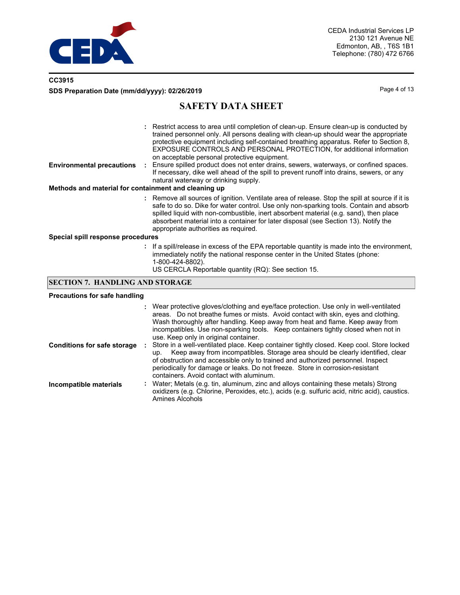

## **CC3915 SDS Preparation Date (mm/dd/yyyy): 02/26/2019 Page 4 of 13**

## **SAFETY DATA SHEET**

| <b>Environmental precautions</b><br>Methods and material for containment and cleaning up | : Restrict access to area until completion of clean-up. Ensure clean-up is conducted by<br>trained personnel only. All persons dealing with clean-up should wear the appropriate<br>protective equipment including self-contained breathing apparatus. Refer to Section 8.<br><b>EXPOSURE CONTROLS AND PERSONAL PROTECTION, for additional information</b><br>on acceptable personal protective equipment.<br>Ensure spilled product does not enter drains, sewers, waterways, or confined spaces.<br>If necessary, dike well ahead of the spill to prevent runoff into drains, sewers, or any<br>natural waterway or drinking supply. |
|------------------------------------------------------------------------------------------|----------------------------------------------------------------------------------------------------------------------------------------------------------------------------------------------------------------------------------------------------------------------------------------------------------------------------------------------------------------------------------------------------------------------------------------------------------------------------------------------------------------------------------------------------------------------------------------------------------------------------------------|
|                                                                                          | : Remove all sources of ignition. Ventilate area of release. Stop the spill at source if it is<br>safe to do so. Dike for water control. Use only non-sparking tools. Contain and absorb<br>spilled liquid with non-combustible, inert absorbent material (e.g. sand), then place<br>absorbent material into a container for later disposal (see Section 13). Notify the<br>appropriate authorities as required.                                                                                                                                                                                                                       |
|                                                                                          |                                                                                                                                                                                                                                                                                                                                                                                                                                                                                                                                                                                                                                        |

**Special spill response procedures**

**:** If a spill/release in excess of the EPA reportable quantity is made into the environment, immediately notify the national response center in the United States (phone: 1-800-424-8802). US CERCLA Reportable quantity (RQ): See section 15.

### **SECTION 7. HANDLING AND STORAGE**

#### **Precautions for safe handling**

|                                    | : Wear protective gloves/clothing and eye/face protection. Use only in well-ventilated<br>areas. Do not breathe fumes or mists. Avoid contact with skin, eyes and clothing.<br>Wash thoroughly after handling. Keep away from heat and flame. Keep away from<br>incompatibles. Use non-sparking tools. Keep containers tightly closed when not in<br>use. Keep only in original container.        |
|------------------------------------|---------------------------------------------------------------------------------------------------------------------------------------------------------------------------------------------------------------------------------------------------------------------------------------------------------------------------------------------------------------------------------------------------|
| <b>Conditions for safe storage</b> | Store in a well-ventilated place. Keep container tightly closed. Keep cool. Store locked<br>Keep away from incompatibles. Storage area should be clearly identified, clear<br>up.<br>of obstruction and accessible only to trained and authorized personnel. Inspect<br>periodically for damage or leaks. Do not freeze. Store in corrosion-resistant<br>containers. Avoid contact with aluminum. |
| Incompatible materials             | : Water; Metals (e.g. tin, aluminum, zinc and alloys containing these metals) Strong<br>oxidizers (e.g. Chlorine, Peroxides, etc.), acids (e.g. sulfuric acid, nitric acid), caustics.<br><b>Amines Alcohols</b>                                                                                                                                                                                  |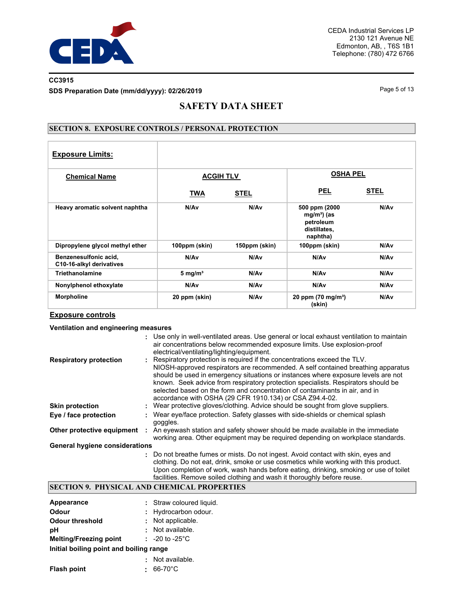

### **CC3915 SDS Preparation Date (mm/dd/yyyy): 02/26/2019 Page 5 of 13** Page 5 of 13

## **SAFETY DATA SHEET**

### **SECTION 8. EXPOSURE CONTROLS / PERSONAL PROTECTION**

| <b>Exposure Limits:</b>                           |                  |               |                                                                       |             |
|---------------------------------------------------|------------------|---------------|-----------------------------------------------------------------------|-------------|
| <b>Chemical Name</b>                              | <b>ACGIH TLV</b> |               | <b>OSHA PEL</b>                                                       |             |
|                                                   | <u>TWA</u>       | <b>STEL</b>   | <b>PEL</b>                                                            | <b>STEL</b> |
| Heavy aromatic solvent naphtha                    | N/Av             | N/Av          | 500 ppm (2000<br>$mg/m3$ (as<br>petroleum<br>distillates,<br>naphtha) | N/Av        |
| Dipropylene glycol methyl ether                   | 100ppm (skin)    | 150ppm (skin) | 100ppm (skin)                                                         | N/Av        |
| Benzenesulfonic acid,<br>C10-16-alkyl derivatives | N/Av             | N/Av          | N/A <sub>v</sub>                                                      | N/Av        |
| Triethanolamine                                   | 5 mg/ $m3$       | N/Av          | N/Av                                                                  | N/Av        |
| Nonylphenol ethoxylate                            | N/Av             | N/Av          | N/A <sub>v</sub>                                                      | N/Av        |
| <b>Morpholine</b>                                 | 20 ppm (skin)    | N/Av          | 20 ppm $(70 \text{ mg/m}^3)$<br>(skin)                                | N/Av        |

#### **Exposure controls**

#### **Ventilation and engineering measures**

|                                       | : Use only in well-ventilated areas. Use general or local exhaust ventilation to maintain<br>air concentrations below recommended exposure limits. Use explosion-proof<br>electrical/ventilating/lighting/equipment.                                                                                                                                                                                                                                                             |
|---------------------------------------|----------------------------------------------------------------------------------------------------------------------------------------------------------------------------------------------------------------------------------------------------------------------------------------------------------------------------------------------------------------------------------------------------------------------------------------------------------------------------------|
| <b>Respiratory protection</b>         | Respiratory protection is required if the concentrations exceed the TLV.<br>NIOSH-approved respirators are recommended. A self contained breathing apparatus<br>should be used in emergency situations or instances where exposure levels are not<br>known. Seek advice from respiratory protection specialists. Respirators should be<br>selected based on the form and concentration of contaminants in air, and in<br>accordance with OSHA (29 CFR 1910.134) or CSA Z94.4-02. |
| <b>Skin protection</b>                | : Wear protective gloves/clothing. Advice should be sought from glove suppliers.                                                                                                                                                                                                                                                                                                                                                                                                 |
| Eye / face protection                 | Wear eye/face protection. Safety glasses with side-shields or chemical splash<br>goggles.                                                                                                                                                                                                                                                                                                                                                                                        |
| Other protective equipment            | An eyewash station and safety shower should be made available in the immediate<br>working area. Other equipment may be required depending on workplace standards.                                                                                                                                                                                                                                                                                                                |
| <b>General hygiene considerations</b> |                                                                                                                                                                                                                                                                                                                                                                                                                                                                                  |
|                                       | : Do not breathe fumes or mists. Do not ingest. Avoid contact with skin, eyes and<br>clothing. Do not eat, drink, smoke or use cosmetics while working with this product.<br>Upon completion of work, wash hands before eating, drinking, smoking or use of toilet<br>facilities. Remove soiled clothing and wash it thoroughly before reuse.                                                                                                                                    |

### **SECTION 9. PHYSICAL AND CHEMICAL PROPERTIES**

| Appearance                              |  | : Straw coloured liquid.   |  |  |
|-----------------------------------------|--|----------------------------|--|--|
| Odour                                   |  | : Hydrocarbon odour.       |  |  |
| <b>Odour threshold</b>                  |  | : Not applicable.          |  |  |
| рH                                      |  | : Not available.           |  |  |
| <b>Melting/Freezing point</b>           |  | : $-20$ to $-25^{\circ}$ C |  |  |
| Initial boiling point and boiling range |  |                            |  |  |
|                                         |  | Not available.             |  |  |
| <b>Flash point</b>                      |  | $66-70^{\circ}$ C          |  |  |
|                                         |  |                            |  |  |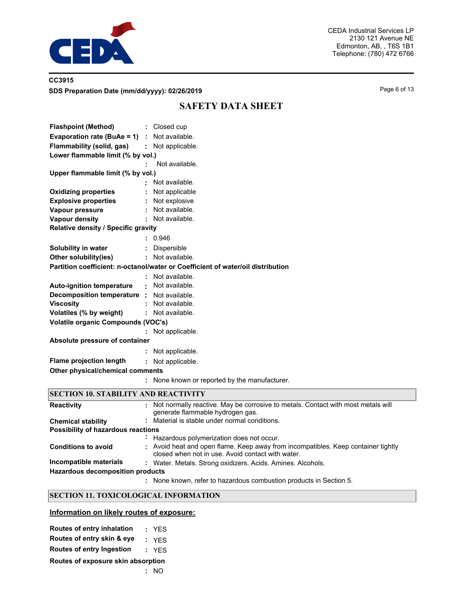

## **CC3915 SDS Preparation Date (mm/dd/yyyy): 02/26/2019 Page 6 of 13** Page 6 of 13

# **SAFETY DATA SHEET**

| <b>Flashpoint (Method)</b>                                                      |  | : Closed cup                                  |
|---------------------------------------------------------------------------------|--|-----------------------------------------------|
| Evaporation rate (BuAe = $1$ ) : Not available.                                 |  |                                               |
| Flammability (solid, gas)                                                       |  | : Not applicable.                             |
| Lower flammable limit (% by vol.)                                               |  |                                               |
|                                                                                 |  | Not available.                                |
| Upper flammable limit (% by vol.)                                               |  |                                               |
|                                                                                 |  | Not available.                                |
| <b>Oxidizing properties</b>                                                     |  | Not applicable                                |
| <b>Explosive properties</b>                                                     |  | : Not explosive                               |
| Vapour pressure                                                                 |  | Not available.                                |
| <b>Vapour density</b>                                                           |  | : Not available.                              |
| Relative density / Specific gravity                                             |  |                                               |
|                                                                                 |  | : 0.946                                       |
| Solubility in water                                                             |  | Dispersible                                   |
| Other solubility(ies)                                                           |  | : Not available.                              |
| Partition coefficient: n-octanol/water or Coefficient of water/oil distribution |  |                                               |
|                                                                                 |  | Not available.                                |
| <b>Auto-ignition temperature</b>                                                |  | : Not available.                              |
| Decomposition temperature : Not available.                                      |  |                                               |
| <b>Viscosity</b>                                                                |  | : Not available.                              |
| Volatiles (% by weight)                                                         |  | : Not available.                              |
| <b>Volatile organic Compounds (VOC's)</b>                                       |  |                                               |
|                                                                                 |  | Not applicable.                               |
| Absolute pressure of container                                                  |  |                                               |
|                                                                                 |  | Not applicable.                               |
| <b>Flame projection length</b>                                                  |  | : Not applicable.                             |
| Other physical/chemical comments                                                |  |                                               |
|                                                                                 |  | : None known or reported by the manufacturer. |
| <b>SECTION 10 STADII ITV AND DEACTIVITY</b>                                     |  |                                               |

| <b>SECTION 10. STABILITY AND REACTIVITY</b> |  |
|---------------------------------------------|--|
|---------------------------------------------|--|

| <b>Reactivity</b>                       | : Not normally reactive. May be corrosive to metals. Contact with most metals will<br>generate flammable hydrogen gas.                 |
|-----------------------------------------|----------------------------------------------------------------------------------------------------------------------------------------|
| <b>Chemical stability</b>               | : Material is stable under normal conditions.                                                                                          |
| Possibility of hazardous reactions      |                                                                                                                                        |
|                                         | Hazardous polymerization does not occur.                                                                                               |
| <b>Conditions to avoid</b>              | : Avoid heat and open flame. Keep away from incompatibles. Keep container tightly<br>closed when not in use. Avoid contact with water. |
| Incompatible materials                  | : Water. Metals. Strong oxidizers. Acids. Amines. Alcohols.                                                                            |
| <b>Hazardous decomposition products</b> |                                                                                                                                        |
|                                         | : None known, refer to hazardous combustion products in Section 5.                                                                     |

### **SECTION 11. TOXICOLOGICAL INFORMATION**

#### **Information on likely routes of exposure:**

| Routes of entry inhalation         |  | : YES |  |  |  |  |  |
|------------------------------------|--|-------|--|--|--|--|--|
| Routes of entry skin & eye         |  | : YFS |  |  |  |  |  |
| Routes of entry Ingestion          |  | : YFS |  |  |  |  |  |
| Routes of exposure skin absorption |  |       |  |  |  |  |  |
|                                    |  | : NO  |  |  |  |  |  |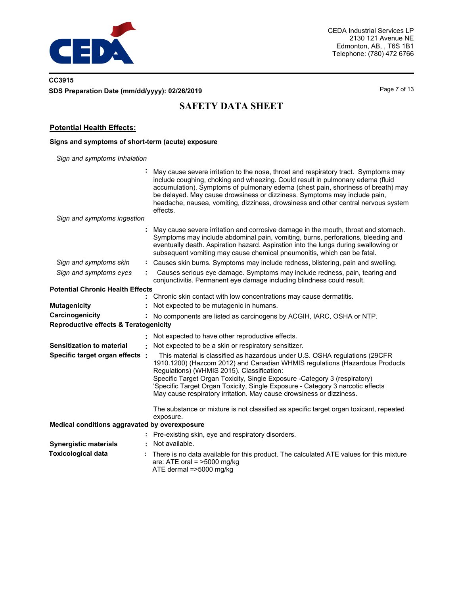

## **CC3915 SDS Preparation Date (mm/dd/yyyy): 02/26/2019 Page 7 of 13** Page 7 of 13

# **SAFETY DATA SHEET**

### **Potential Health Effects:**

### **Signs and symptoms of short-term (acute) exposure**

*Sign and symptoms Inhalation*

|                                                                     |    | May cause severe irritation to the nose, throat and respiratory tract. Symptoms may<br>include coughing, choking and wheezing. Could result in pulmonary edema (fluid<br>accumulation). Symptoms of pulmonary edema (chest pain, shortness of breath) may<br>be delayed. May cause drowsiness or dizziness. Symptoms may include pain,<br>headache, nausea, vomiting, dizziness, drowsiness and other central nervous system<br>effects.        |
|---------------------------------------------------------------------|----|-------------------------------------------------------------------------------------------------------------------------------------------------------------------------------------------------------------------------------------------------------------------------------------------------------------------------------------------------------------------------------------------------------------------------------------------------|
| Sign and symptoms ingestion                                         |    |                                                                                                                                                                                                                                                                                                                                                                                                                                                 |
|                                                                     | ÷. | May cause severe irritation and corrosive damage in the mouth, throat and stomach.<br>Symptoms may include abdominal pain, vomiting, burns, perforations, bleeding and<br>eventually death. Aspiration hazard. Aspiration into the lungs during swallowing or<br>subsequent vomiting may cause chemical pneumonitis, which can be fatal.                                                                                                        |
| Sign and symptoms skin                                              |    | : Causes skin burns. Symptoms may include redness, blistering, pain and swelling.                                                                                                                                                                                                                                                                                                                                                               |
| Sign and symptoms eyes                                              |    | Causes serious eye damage. Symptoms may include redness, pain, tearing and<br>conjunctivitis. Permanent eye damage including blindness could result.                                                                                                                                                                                                                                                                                            |
| <b>Potential Chronic Health Effects</b>                             |    |                                                                                                                                                                                                                                                                                                                                                                                                                                                 |
|                                                                     |    | : Chronic skin contact with low concentrations may cause dermatitis.                                                                                                                                                                                                                                                                                                                                                                            |
| <b>Mutagenicity</b>                                                 |    | Not expected to be mutagenic in humans.                                                                                                                                                                                                                                                                                                                                                                                                         |
| Carcinogenicity<br><b>Reproductive effects &amp; Teratogenicity</b> |    | No components are listed as carcinogens by ACGIH, IARC, OSHA or NTP.                                                                                                                                                                                                                                                                                                                                                                            |
|                                                                     |    | : Not expected to have other reproductive effects.                                                                                                                                                                                                                                                                                                                                                                                              |
| <b>Sensitization to material</b>                                    | ÷. | Not expected to be a skin or respiratory sensitizer.                                                                                                                                                                                                                                                                                                                                                                                            |
| Specific target organ effects :                                     |    | This material is classified as hazardous under U.S. OSHA regulations (29CFR<br>1910.1200) (Hazcom 2012) and Canadian WHMIS regulations (Hazardous Products<br>Regulations) (WHMIS 2015). Classification:<br>Specific Target Organ Toxicity, Single Exposure -Category 3 (respiratory)<br>'Specific Target Organ Toxicity, Single Exposure - Category 3 narcotic effects<br>May cause respiratory irritation. May cause drowsiness or dizziness. |
|                                                                     |    | The substance or mixture is not classified as specific target organ toxicant, repeated<br>exposure.                                                                                                                                                                                                                                                                                                                                             |
| Medical conditions aggravated by overexposure                       |    |                                                                                                                                                                                                                                                                                                                                                                                                                                                 |
|                                                                     |    | : Pre-existing skin, eye and respiratory disorders.                                                                                                                                                                                                                                                                                                                                                                                             |
| <b>Synergistic materials</b>                                        |    | Not available.                                                                                                                                                                                                                                                                                                                                                                                                                                  |
| <b>Toxicological data</b>                                           |    | There is no data available for this product. The calculated ATE values for this mixture<br>are: ATE oral = $>5000$ mg/kg<br>ATE dermal =>5000 mg/kg                                                                                                                                                                                                                                                                                             |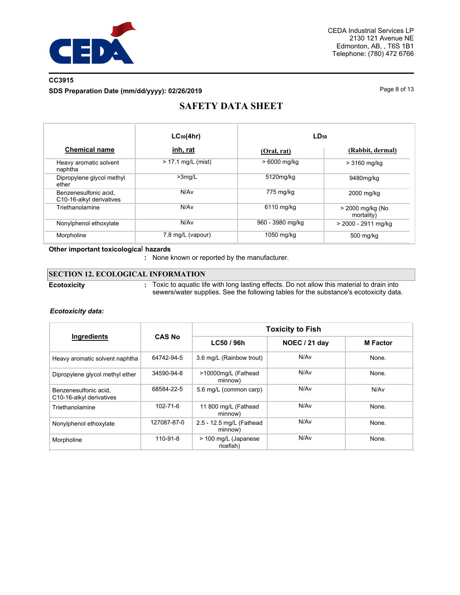

## **CC3915 SDS Preparation Date (mm/dd/yyyy): 02/26/2019 Page 8 of 13**

# **SAFETY DATA SHEET**

|                                                   | $LC_{50}(4hr)$       | LD <sub>50</sub> |                                |  |  |
|---------------------------------------------------|----------------------|------------------|--------------------------------|--|--|
| <b>Chemical name</b>                              | inh, rat             | (Oral, rat)      | (Rabbit, dermal)               |  |  |
| Heavy aromatic solvent<br>naphtha                 | $> 17.1$ mg/L (mist) | > 6000 mg/kg     | > 3160 mg/kg                   |  |  |
| Dipropylene glycol methyl<br>ether                | $>3$ mg/L            | 5120mg/kg        | 9480mg/kg                      |  |  |
| Benzenesulfonic acid,<br>C10-16-alkyl derivatives | N/Av                 | 775 mg/kg        | 2000 mg/kg                     |  |  |
| Triethanolamine                                   | N/Av                 | 6110 mg/kg       | > 2000 mg/kg (No<br>mortality) |  |  |
| Nonylphenol ethoxylate                            | N/Av                 | 960 - 3980 mg/kg | > 2000 - 2911 mg/kg            |  |  |
| Morpholine                                        | 7.8 mg/L (vapour)    | 1050 mg/kg       | 500 mg/kg                      |  |  |

#### **Other important toxicologica**l **hazards**

**:** None known or reported by the manufacturer.

## **SECTION 12. ECOLOGICAL INFORMATION**

#### **Ecotoxicity :**

Toxic to aquatic life with long lasting effects. Do not allow this material to drain into sewers/water supplies. See the following tables for the substance's ecotoxicity data.

#### *Ecotoxicity data:*

|                                                   |               | <b>Toxicity to Fish</b>             |                  |                 |  |  |
|---------------------------------------------------|---------------|-------------------------------------|------------------|-----------------|--|--|
| Ingredients                                       | <b>CAS No</b> | LC50 / 96h                          | NOEC / 21 day    | <b>M</b> Factor |  |  |
| Heavy aromatic solvent naphtha                    | 64742-94-5    | 3.6 mg/L (Rainbow trout)            | N/Av             | None.           |  |  |
| Dipropylene glycol methyl ether                   | 34590-94-8    | >10000mg/L (Fathead<br>minnow)      | N/A <sub>v</sub> | None.           |  |  |
| Benzenesulfonic acid.<br>C10-16-alkyl derivatives | 68584-22-5    | 5.6 mg/L (common carp)              | N/Av             | N/Av            |  |  |
| Triethanolamine                                   | 102-71-6      | 11 800 mg/L (Fathead<br>minnow)     | N/A <sub>v</sub> | None.           |  |  |
| Nonylphenol ethoxylate                            | 127087-87-0   | 2.5 - 12.5 mg/L (Fathead<br>minnow) | N/A <sub>v</sub> | None.           |  |  |
| Morpholine                                        | 110-91-8      | > 100 mg/L (Japanese<br>ricefish)   | N/Av             | None.           |  |  |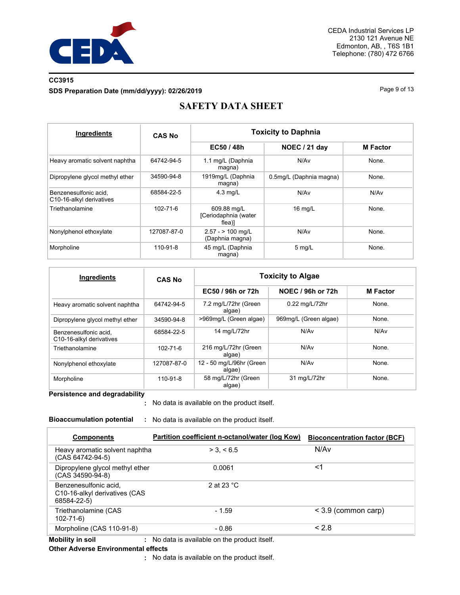

### **CC3915 SDS Preparation Date (mm/dd/yyyy): 02/26/2019 Page 9 of 13**

# **SAFETY DATA SHEET**

| Ingredients                                       | <b>CAS No</b>  | <b>Toxicity to Daphnia</b>                    |                         |                  |  |  |
|---------------------------------------------------|----------------|-----------------------------------------------|-------------------------|------------------|--|--|
|                                                   |                | EC50 / 48h<br>NOEC / 21 day                   |                         | <b>M</b> Factor  |  |  |
| Heavy aromatic solvent naphtha                    | 64742-94-5     | 1.1 mg/L (Daphnia<br>magna)                   | N/A <sub>v</sub>        | None.            |  |  |
| Dipropylene glycol methyl ether                   | 34590-94-8     | 1919mg/L (Daphnia<br>magna)                   | 0.5mg/L (Daphnia magna) | None.            |  |  |
| Benzenesulfonic acid.<br>C10-16-alkyl derivatives | 68584-22-5     | $4.3$ mg/L                                    | N/Av                    | N/A <sub>v</sub> |  |  |
| Triethanolamine                                   | $102 - 71 - 6$ | 609.88 mg/L<br>[Ceriodaphnia (water<br>flea)] | $16$ mg/L               | None.            |  |  |
| Nonylphenol ethoxylate                            | 127087-87-0    | $2.57 - 2.100$ mg/L<br>(Daphnia magna)        | N/A <sub>v</sub>        | None.            |  |  |
| Morpholine                                        | 110-91-8       | 45 mg/L (Daphnia<br>magna)                    | $5$ mg/L                | None.            |  |  |

| Ingredients                                       | <b>CAS No</b>  | <b>Toxicity to Algae</b>           |                       |                 |  |
|---------------------------------------------------|----------------|------------------------------------|-----------------------|-----------------|--|
|                                                   |                | EC50 / 96h or 72h                  | NOEC / 96h or 72h     | <b>M</b> Factor |  |
| Heavy aromatic solvent naphtha                    | 64742-94-5     | 7.2 mg/L/72hr (Green<br>algae)     | 0.22 mg/L/72hr        | None.           |  |
| Dipropylene glycol methyl ether                   | 34590-94-8     | >969mg/L (Green algae)             | 969mg/L (Green algae) | None.           |  |
| Benzenesulfonic acid.<br>C10-16-alkyl derivatives | 68584-22-5     | 14 mg/L/72hr                       | N/Av                  | N/Av            |  |
| Triethanolamine                                   | $102 - 71 - 6$ | 216 mg/L/72hr (Green<br>algae)     | N/Av                  | None.           |  |
| Nonylphenol ethoxylate                            | 127087-87-0    | 12 - 50 mg/L/96hr (Green<br>algae) | N/Av                  | None.           |  |
| Morpholine                                        | 110-91-8       | 58 mg/L/72hr (Green<br>algae)      | 31 mg/L/72hr          | None.           |  |

**Persistence and degradability**

No data is available on the product itself. **:**

**Bioaccumulation potential :** No data is available on the product itself.

| <b>Components</b>                                                     | Partition coefficient n-octanol/water (log Kow) | <b>Bioconcentration factor (BCF)</b> |
|-----------------------------------------------------------------------|-------------------------------------------------|--------------------------------------|
| Heavy aromatic solvent naphtha<br>(CAS 64742-94-5)                    | > 3. < 6.5                                      | N/Av                                 |
| Dipropylene glycol methyl ether<br>(CAS 34590-94-8)                   | 0.0061                                          | <1                                   |
| Benzenesulfonic acid,<br>C10-16-alkyl derivatives (CAS<br>68584-22-5) | 2 at 23 $^{\circ}$ C                            |                                      |
| Triethanolamine (CAS<br>$102 - 71 - 6$                                | $-1.59$                                         | $<$ 3.9 (common carp)                |
| Morpholine (CAS 110-91-8)                                             | $-0.86$                                         | < 2.8                                |

**Mobility in soil :** No data is available on the product itself.

#### **Other Adverse Environmental effects**

No data is available on the product itself. **:**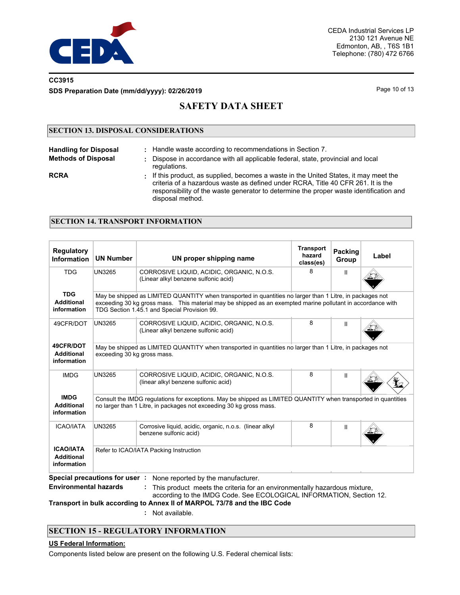

### **CC3915 SDS Preparation Date (mm/dd/yyyy): 02/26/2019 Page 10 of 13** Page 10 of 13

# **SAFETY DATA SHEET**

### **SECTION 13. DISPOSAL CONSIDERATIONS**

| <b>Handling for Disposal</b> | : Handle waste according to recommendations in Section 7.                                                                                                                                                                                                                               |
|------------------------------|-----------------------------------------------------------------------------------------------------------------------------------------------------------------------------------------------------------------------------------------------------------------------------------------|
| <b>Methods of Disposal</b>   | Dispose in accordance with all applicable federal, state, provincial and local<br>regulations.                                                                                                                                                                                          |
| <b>RCRA</b>                  | : If this product, as supplied, becomes a waste in the United States, it may meet the<br>criteria of a hazardous waste as defined under RCRA, Title 40 CFR 261. It is the<br>responsibility of the waste generator to determine the proper waste identification and<br>disposal method. |

#### **SECTION 14. TRANSPORT INFORMATION**

| <b>Regulatory</b><br>Information                     | <b>UN Number</b>                                                                                                                                                                      | UN proper shipping name                                                                                                                                                                                                                                                  | <b>Transport</b><br>hazard<br>class(es) | Packing<br>Group | Label |  |  |  |
|------------------------------------------------------|---------------------------------------------------------------------------------------------------------------------------------------------------------------------------------------|--------------------------------------------------------------------------------------------------------------------------------------------------------------------------------------------------------------------------------------------------------------------------|-----------------------------------------|------------------|-------|--|--|--|
| <b>TDG</b>                                           | <b>UN3265</b>                                                                                                                                                                         | CORROSIVE LIQUID, ACIDIC, ORGANIC, N.O.S.<br>(Linear alkyl benzene sulfonic acid)                                                                                                                                                                                        | 8                                       | $\mathbf{II}$    |       |  |  |  |
| <b>TDG</b><br><b>Additional</b><br>information       |                                                                                                                                                                                       | May be shipped as LIMITED QUANTITY when transported in quantities no larger than 1 Litre, in packages not<br>exceeding 30 kg gross mass. This material may be shipped as an exempted marine pollutant in accordance with<br>TDG Section 1.45.1 and Special Provision 99. |                                         |                  |       |  |  |  |
| 49CFR/DOT                                            | <b>UN3265</b>                                                                                                                                                                         | CORROSIVE LIQUID, ACIDIC, ORGANIC, N.O.S.<br>(Linear alkyl benzene sulfonic acid)                                                                                                                                                                                        | 8                                       | Ш                |       |  |  |  |
| 49CFR/DOT<br><b>Additional</b><br>information        | May be shipped as LIMITED QUANTITY when transported in quantities no larger than 1 Litre, in packages not<br>exceeding 30 kg gross mass.                                              |                                                                                                                                                                                                                                                                          |                                         |                  |       |  |  |  |
| <b>IMDG</b>                                          | <b>UN3265</b>                                                                                                                                                                         | CORROSIVE LIQUID, ACIDIC, ORGANIC, N.O.S.<br>(linear alkyl benzene sulfonic acid)                                                                                                                                                                                        | 8                                       | Ш                |       |  |  |  |
| <b>IMDG</b><br><b>Additional</b><br>information      | Consult the IMDG regulations for exceptions. May be shipped as LIMITED QUANTITY when transported in quantities<br>no larger than 1 Litre, in packages not exceeding 30 kg gross mass. |                                                                                                                                                                                                                                                                          |                                         |                  |       |  |  |  |
| <b>ICAO/IATA</b>                                     | <b>UN3265</b>                                                                                                                                                                         | Corrosive liquid, acidic, organic, n.o.s. (linear alkyl<br>benzene sulfonic acid)                                                                                                                                                                                        | 8                                       | Ш                |       |  |  |  |
| <b>ICAO/IATA</b><br><b>Additional</b><br>information |                                                                                                                                                                                       | Refer to ICAO/IATA Packing Instruction                                                                                                                                                                                                                                   |                                         |                  |       |  |  |  |
| <b>Environmental hazards</b>                         | Special precautions for user:                                                                                                                                                         | None reported by the manufacturer.<br>This product meets the criteria for an environmentally hazardous mixture.                                                                                                                                                          |                                         |                  |       |  |  |  |

according to the IMDG Code. See ECOLOGICAL INFORMATION, Section 12.

**Transport in bulk according to Annex II of MARPOL 73/78 and the IBC Code**

**:** Not available.

## **SECTION 15 - REGULATORY INFORMATION**

#### **US Federal Information:**

Components listed below are present on the following U.S. Federal chemical lists: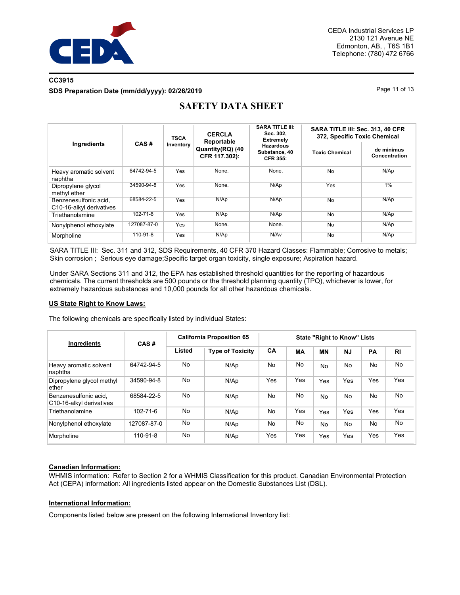

## **CC3915 SDS Preparation Date (mm/dd/yyyy): 02/26/2019 Page 11 of 13** Page 11 of 13

| Ingredients                                       | CAS#           | <b>TSCA</b> | <b>CERCLA</b><br>Reportable       | <b>SARA TITLE III:</b><br>Sec. 302,<br><b>Extremely</b> | SARA TITLE III: Sec. 313, 40 CFR<br>372, Specific Toxic Chemical |                             |  |
|---------------------------------------------------|----------------|-------------|-----------------------------------|---------------------------------------------------------|------------------------------------------------------------------|-----------------------------|--|
|                                                   |                | Inventory   | Quantity(RQ) (40<br>CFR 117.302): | <b>Hazardous</b><br>Substance, 40<br><b>CFR 355:</b>    | <b>Toxic Chemical</b>                                            | de minimus<br>Concentration |  |
| Heavy aromatic solvent<br>naphtha                 | 64742-94-5     | Yes         | None.                             | None.                                                   | No                                                               | N/Ap                        |  |
| Dipropylene glycol<br>methyl ether                | 34590-94-8     | Yes         | None.                             | N/Ap                                                    | Yes                                                              | 1%                          |  |
| Benzenesulfonic acid.<br>C10-16-alkyl derivatives | 68584-22-5     | Yes         | N/Ap                              | N/Ap                                                    | <b>No</b>                                                        | N/Ap                        |  |
| Triethanolamine                                   | $102 - 71 - 6$ | Yes         | N/Ap                              | N/Ap                                                    | <b>No</b>                                                        | N/Ap                        |  |
| Nonylphenol ethoxylate                            | 127087-87-0    | Yes         | None.                             | None.                                                   | No                                                               | N/Ap                        |  |
| Morpholine                                        | $110 - 91 - 8$ | Yes         | N/Ap                              | N/Av                                                    | No                                                               | N/Ap                        |  |

# **SAFETY DATA SHEET**

SARA TITLE III: Sec. 311 and 312, SDS Requirements, 40 CFR 370 Hazard Classes: Flammable; Corrosive to metals; Skin corrosion ; Serious eye damage;Specific target organ toxicity, single exposure; Aspiration hazard.

Under SARA Sections 311 and 312, the EPA has established threshold quantities for the reporting of hazardous chemicals. The current thresholds are 500 pounds or the threshold planning quantity (TPQ), whichever is lower, for extremely hazardous substances and 10,000 pounds for all other hazardous chemicals.

#### **US State Right to Know Laws:**

The following chemicals are specifically listed by individual States:

| Ingredients                                       | CAS#           | <b>California Proposition 65</b> |                         | <b>State "Right to Know" Lists</b> |           |           |           |     |                |
|---------------------------------------------------|----------------|----------------------------------|-------------------------|------------------------------------|-----------|-----------|-----------|-----|----------------|
|                                                   |                | Listed                           | <b>Type of Toxicity</b> | <b>CA</b>                          | <b>MA</b> | <b>MN</b> | <b>NJ</b> | PA  | R <sub>1</sub> |
| Heavy aromatic solvent<br>naphtha                 | 64742-94-5     | No                               | N/Ap                    | No.                                | No        | No.       | No.       | No  | No             |
| Dipropylene glycol methyl<br>ether                | 34590-94-8     | No                               | N/Ap                    | Yes                                | Yes       | Yes       | Yes       | Yes | Yes            |
| Benzenesulfonic acid,<br>C10-16-alkyl derivatives | 68584-22-5     | No                               | N/Ap                    | No                                 | No        | No.       | No.       | No  | No             |
| Triethanolamine                                   | $102 - 71 - 6$ | No                               | N/Ap                    | No                                 | Yes       | Yes       | Yes       | Yes | Yes            |
| Nonylphenol ethoxylate                            | 127087-87-0    | No                               | N/Ap                    | N <sub>o</sub>                     | No        | No.       | No.       | No  | No             |
| Morpholine                                        | 110-91-8       | No                               | N/Ap                    | Yes                                | Yes       | Yes       | Yes       | Yes | Yes            |

#### **Canadian Information:**

WHMIS information: Refer to Section 2 for a WHMIS Classification for this product. Canadian Environmental Protection Act (CEPA) information: All ingredients listed appear on the Domestic Substances List (DSL).

#### **International Information:**

Components listed below are present on the following International Inventory list: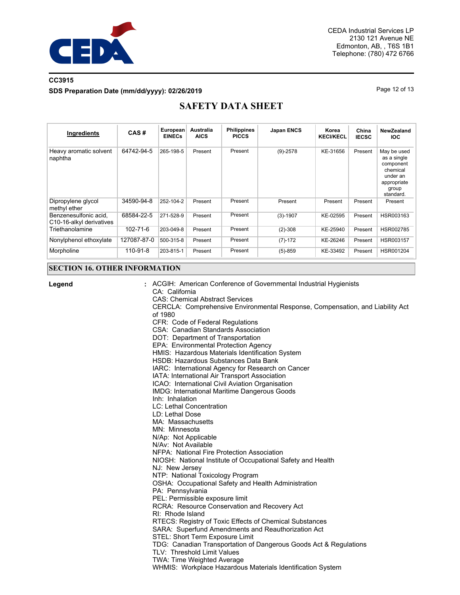

## **CC3915 SDS Preparation Date (mm/dd/yyyy): 02/26/2019 Page 12 of 13** Page 12 of 13

# **SAFETY DATA SHEET**

| Ingredients                                       | CAS#           | European<br><b>EINECs</b> | <b>Australia</b><br><b>AICS</b> | <b>Philippines</b><br><b>PICCS</b> | <b>Japan ENCS</b> | Korea<br><b>KECI/KECL</b> | China<br><b>IECSC</b> | NewZealand<br><b>IOC</b>                                                                             |
|---------------------------------------------------|----------------|---------------------------|---------------------------------|------------------------------------|-------------------|---------------------------|-----------------------|------------------------------------------------------------------------------------------------------|
| Heavy aromatic solvent<br>naphtha                 | 64742-94-5     | 265-198-5                 | Present                         | Present                            | $(9)-2578$        | KE-31656                  | Present               | May be used<br>as a single<br>component<br>chemical<br>under an<br>appropriate<br>group<br>standard. |
| Dipropylene glycol<br>methyl ether                | 34590-94-8     | 252-104-2                 | Present                         | Present                            | Present           | Present                   | Present               | Present                                                                                              |
| Benzenesulfonic acid.<br>C10-16-alkyl derivatives | 68584-22-5     | 271-528-9                 | Present                         | Present                            | $(3)-1907$        | KE-02595                  | Present               | HSR003163                                                                                            |
| Triethanolamine                                   | $102 - 71 - 6$ | 203-049-8                 | Present                         | Present                            | $(2)-308$         | KE-25940                  | Present               | HSR002785                                                                                            |
| Nonylphenol ethoxylate                            | 127087-87-0    | 500-315-8                 | Present                         | Present                            | $(7)-172$         | KE-26246                  | Present               | HSR003157                                                                                            |
| Morpholine                                        | 110-91-8       | 203-815-1                 | Present                         | Present                            | $(5)-859$         | KE-33492                  | Present               | HSR001204                                                                                            |

## **SECTION 16. OTHER INFORMATION**

| Legend | : ACGIH: American Conference of Governmental Industrial Hygienists                       |
|--------|------------------------------------------------------------------------------------------|
|        | CA: California                                                                           |
|        | <b>CAS: Chemical Abstract Services</b>                                                   |
|        | CERCLA: Comprehensive Environmental Response, Compensation, and Liability Act<br>of 1980 |
|        | CFR: Code of Federal Regulations                                                         |
|        | CSA: Canadian Standards Association                                                      |
|        | DOT: Department of Transportation                                                        |
|        | EPA: Environmental Protection Agency                                                     |
|        | HMIS: Hazardous Materials Identification System                                          |
|        | HSDB: Hazardous Substances Data Bank                                                     |
|        | IARC: International Agency for Research on Cancer                                        |
|        | IATA: International Air Transport Association                                            |
|        | ICAO: International Civil Aviation Organisation                                          |
|        | IMDG: International Maritime Dangerous Goods                                             |
|        | Inh: Inhalation                                                                          |
|        | <b>LC: Lethal Concentration</b>                                                          |
|        | LD: Lethal Dose                                                                          |
|        | MA: Massachusetts                                                                        |
|        | MN: Minnesota                                                                            |
|        | N/Ap: Not Applicable                                                                     |
|        | N/Av: Not Available                                                                      |
|        | NFPA: National Fire Protection Association                                               |
|        | NIOSH: National Institute of Occupational Safety and Health                              |
|        | NJ: New Jersey                                                                           |
|        | NTP: National Toxicology Program                                                         |
|        | OSHA: Occupational Safety and Health Administration                                      |
|        | PA: Pennsylvania                                                                         |
|        | PEL: Permissible exposure limit                                                          |
|        | RCRA: Resource Conservation and Recovery Act                                             |
|        | RI: Rhode Island                                                                         |
|        | RTECS: Registry of Toxic Effects of Chemical Substances                                  |
|        | SARA: Superfund Amendments and Reauthorization Act                                       |
|        | STEL: Short Term Exposure Limit                                                          |
|        | TDG: Canadian Transportation of Dangerous Goods Act & Regulations                        |
|        | TLV: Threshold Limit Values                                                              |
|        | <b>TWA: Time Weighted Average</b>                                                        |
|        | WHMIS: Workplace Hazardous Materials Identification System                               |